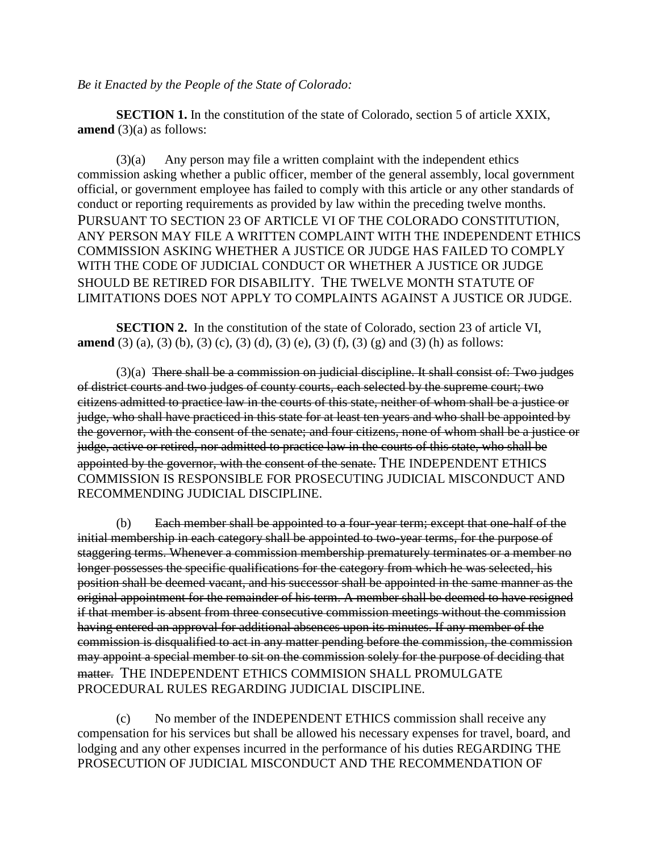## *Be it Enacted by the People of the State of Colorado:*

**SECTION 1.** In the constitution of the state of Colorado, section 5 of article XXIX, **amend** (3)(a) as follows:

 (3)(a) Any person may file a written complaint with the independent ethics commission asking whether a public officer, member of the general assembly, local government official, or government employee has failed to comply with this article or any other standards of conduct or reporting requirements as provided by law within the preceding twelve months. PURSUANT TO SECTION 23 OF ARTICLE VI OF THE COLORADO CONSTITUTION, ANY PERSON MAY FILE A WRITTEN COMPLAINT WITH THE INDEPENDENT ETHICS COMMISSION ASKING WHETHER A JUSTICE OR JUDGE HAS FAILED TO COMPLY WITH THE CODE OF JUDICIAL CONDUCT OR WHETHER A JUSTICE OR JUDGE SHOULD BE RETIRED FOR DISABILITY. THE TWELVE MONTH STATUTE OF LIMITATIONS DOES NOT APPLY TO COMPLAINTS AGAINST A JUSTICE OR JUDGE.

**SECTION 2.** In the constitution of the state of Colorado, section 23 of article VI, **amend** (3) (a), (3) (b), (3) (c), (3) (d), (3) (e), (3) (f), (3) (g) and (3) (h) as follows:

 (3)(a) There shall be a commission on judicial discipline. It shall consist of: Two judges of district courts and two judges of county courts, each selected by the supreme court; two citizens admitted to practice law in the courts of this state, neither of whom shall be a justice or judge, who shall have practiced in this state for at least ten years and who shall be appointed by the governor, with the consent of the senate; and four citizens, none of whom shall be a justice or judge, active or retired, nor admitted to practice law in the courts of this state, who shall be appointed by the governor, with the consent of the senate. THE INDEPENDENT ETHICS COMMISSION IS RESPONSIBLE FOR PROSECUTING JUDICIAL MISCONDUCT AND RECOMMENDING JUDICIAL DISCIPLINE.

 (b) Each member shall be appointed to a four-year term; except that one-half of the initial membership in each category shall be appointed to two-year terms, for the purpose of staggering terms. Whenever a commission membership prematurely terminates or a member no longer possesses the specific qualifications for the category from which he was selected, his position shall be deemed vacant, and his successor shall be appointed in the same manner as the original appointment for the remainder of his term. A member shall be deemed to have resigned if that member is absent from three consecutive commission meetings without the commission having entered an approval for additional absences upon its minutes. If any member of the commission is disqualified to act in any matter pending before the commission, the commission may appoint a special member to sit on the commission solely for the purpose of deciding that matter. THE INDEPENDENT ETHICS COMMISION SHALL PROMULGATE PROCEDURAL RULES REGARDING JUDICIAL DISCIPLINE.

 (c) No member of the INDEPENDENT ETHICS commission shall receive any compensation for his services but shall be allowed his necessary expenses for travel, board, and lodging and any other expenses incurred in the performance of his duties REGARDING THE PROSECUTION OF JUDICIAL MISCONDUCT AND THE RECOMMENDATION OF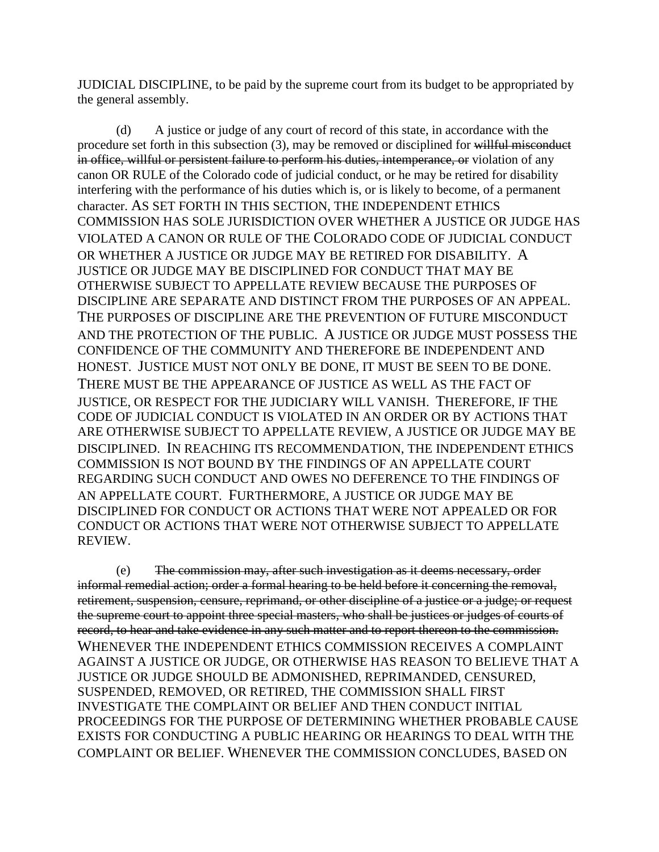JUDICIAL DISCIPLINE, to be paid by the supreme court from its budget to be appropriated by the general assembly.

(d) A justice or judge of any court of record of this state, in accordance with the procedure set forth in this subsection (3), may be removed or disciplined for willful misconduct in office, willful or persistent failure to perform his duties, intemperance, or violation of any canon OR RULE of the Colorado code of judicial conduct, or he may be retired for disability interfering with the performance of his duties which is, or is likely to become, of a permanent character. AS SET FORTH IN THIS SECTION, THE INDEPENDENT ETHICS COMMISSION HAS SOLE JURISDICTION OVER WHETHER A JUSTICE OR JUDGE HAS VIOLATED A CANON OR RULE OF THE COLORADO CODE OF JUDICIAL CONDUCT OR WHETHER A JUSTICE OR JUDGE MAY BE RETIRED FOR DISABILITY. A JUSTICE OR JUDGE MAY BE DISCIPLINED FOR CONDUCT THAT MAY BE OTHERWISE SUBJECT TO APPELLATE REVIEW BECAUSE THE PURPOSES OF DISCIPLINE ARE SEPARATE AND DISTINCT FROM THE PURPOSES OF AN APPEAL. THE PURPOSES OF DISCIPLINE ARE THE PREVENTION OF FUTURE MISCONDUCT AND THE PROTECTION OF THE PUBLIC. A JUSTICE OR JUDGE MUST POSSESS THE CONFIDENCE OF THE COMMUNITY AND THEREFORE BE INDEPENDENT AND HONEST. JUSTICE MUST NOT ONLY BE DONE, IT MUST BE SEEN TO BE DONE. THERE MUST BE THE APPEARANCE OF JUSTICE AS WELL AS THE FACT OF JUSTICE, OR RESPECT FOR THE JUDICIARY WILL VANISH. THEREFORE, IF THE CODE OF JUDICIAL CONDUCT IS VIOLATED IN AN ORDER OR BY ACTIONS THAT ARE OTHERWISE SUBJECT TO APPELLATE REVIEW, A JUSTICE OR JUDGE MAY BE DISCIPLINED. IN REACHING ITS RECOMMENDATION, THE INDEPENDENT ETHICS COMMISSION IS NOT BOUND BY THE FINDINGS OF AN APPELLATE COURT REGARDING SUCH CONDUCT AND OWES NO DEFERENCE TO THE FINDINGS OF AN APPELLATE COURT. FURTHERMORE, A JUSTICE OR JUDGE MAY BE DISCIPLINED FOR CONDUCT OR ACTIONS THAT WERE NOT APPEALED OR FOR CONDUCT OR ACTIONS THAT WERE NOT OTHERWISE SUBJECT TO APPELLATE REVIEW.

 (e) The commission may, after such investigation as it deems necessary, order informal remedial action; order a formal hearing to be held before it concerning the removal, retirement, suspension, censure, reprimand, or other discipline of a justice or a judge; or request the supreme court to appoint three special masters, who shall be justices or judges of courts of record, to hear and take evidence in any such matter and to report thereon to the commission. WHENEVER THE INDEPENDENT ETHICS COMMISSION RECEIVES A COMPLAINT AGAINST A JUSTICE OR JUDGE, OR OTHERWISE HAS REASON TO BELIEVE THAT A JUSTICE OR JUDGE SHOULD BE ADMONISHED, REPRIMANDED, CENSURED, SUSPENDED, REMOVED, OR RETIRED, THE COMMISSION SHALL FIRST INVESTIGATE THE COMPLAINT OR BELIEF AND THEN CONDUCT INITIAL PROCEEDINGS FOR THE PURPOSE OF DETERMINING WHETHER PROBABLE CAUSE EXISTS FOR CONDUCTING A PUBLIC HEARING OR HEARINGS TO DEAL WITH THE COMPLAINT OR BELIEF. WHENEVER THE COMMISSION CONCLUDES, BASED ON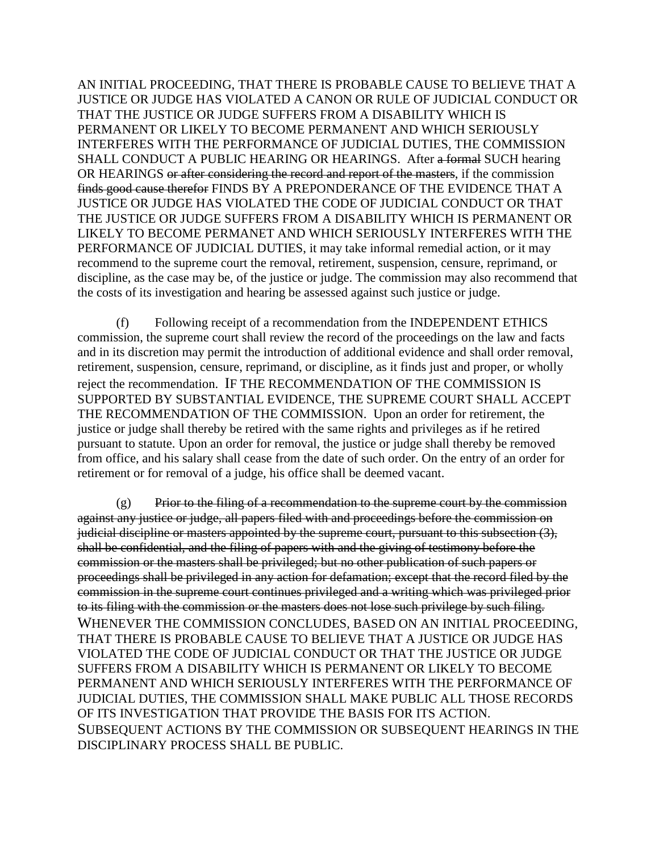AN INITIAL PROCEEDING, THAT THERE IS PROBABLE CAUSE TO BELIEVE THAT A JUSTICE OR JUDGE HAS VIOLATED A CANON OR RULE OF JUDICIAL CONDUCT OR THAT THE JUSTICE OR JUDGE SUFFERS FROM A DISABILITY WHICH IS PERMANENT OR LIKELY TO BECOME PERMANENT AND WHICH SERIOUSLY INTERFERES WITH THE PERFORMANCE OF JUDICIAL DUTIES, THE COMMISSION SHALL CONDUCT A PUBLIC HEARING OR HEARINGS. After a formal SUCH hearing OR HEARINGS or after considering the record and report of the masters, if the commission finds good cause therefor FINDS BY A PREPONDERANCE OF THE EVIDENCE THAT A JUSTICE OR JUDGE HAS VIOLATED THE CODE OF JUDICIAL CONDUCT OR THAT THE JUSTICE OR JUDGE SUFFERS FROM A DISABILITY WHICH IS PERMANENT OR LIKELY TO BECOME PERMANET AND WHICH SERIOUSLY INTERFERES WITH THE PERFORMANCE OF JUDICIAL DUTIES, it may take informal remedial action, or it may recommend to the supreme court the removal, retirement, suspension, censure, reprimand, or discipline, as the case may be, of the justice or judge. The commission may also recommend that the costs of its investigation and hearing be assessed against such justice or judge.

 (f) Following receipt of a recommendation from the INDEPENDENT ETHICS commission, the supreme court shall review the record of the proceedings on the law and facts and in its discretion may permit the introduction of additional evidence and shall order removal, retirement, suspension, censure, reprimand, or discipline, as it finds just and proper, or wholly reject the recommendation. IF THE RECOMMENDATION OF THE COMMISSION IS SUPPORTED BY SUBSTANTIAL EVIDENCE, THE SUPREME COURT SHALL ACCEPT THE RECOMMENDATION OF THE COMMISSION. Upon an order for retirement, the justice or judge shall thereby be retired with the same rights and privileges as if he retired pursuant to statute. Upon an order for removal, the justice or judge shall thereby be removed from office, and his salary shall cease from the date of such order. On the entry of an order for retirement or for removal of a judge, his office shall be deemed vacant.

 $(g)$  Prior to the filing of a recommendation to the supreme court by the commission against any justice or judge, all papers filed with and proceedings before the commission on judicial discipline or masters appointed by the supreme court, pursuant to this subsection (3), shall be confidential, and the filing of papers with and the giving of testimony before the commission or the masters shall be privileged; but no other publication of such papers or proceedings shall be privileged in any action for defamation; except that the record filed by the commission in the supreme court continues privileged and a writing which was privileged prior to its filing with the commission or the masters does not lose such privilege by such filing. WHENEVER THE COMMISSION CONCLUDES, BASED ON AN INITIAL PROCEEDING, THAT THERE IS PROBABLE CAUSE TO BELIEVE THAT A JUSTICE OR JUDGE HAS VIOLATED THE CODE OF JUDICIAL CONDUCT OR THAT THE JUSTICE OR JUDGE SUFFERS FROM A DISABILITY WHICH IS PERMANENT OR LIKELY TO BECOME PERMANENT AND WHICH SERIOUSLY INTERFERES WITH THE PERFORMANCE OF JUDICIAL DUTIES, THE COMMISSION SHALL MAKE PUBLIC ALL THOSE RECORDS OF ITS INVESTIGATION THAT PROVIDE THE BASIS FOR ITS ACTION. SUBSEQUENT ACTIONS BY THE COMMISSION OR SUBSEQUENT HEARINGS IN THE DISCIPLINARY PROCESS SHALL BE PUBLIC.